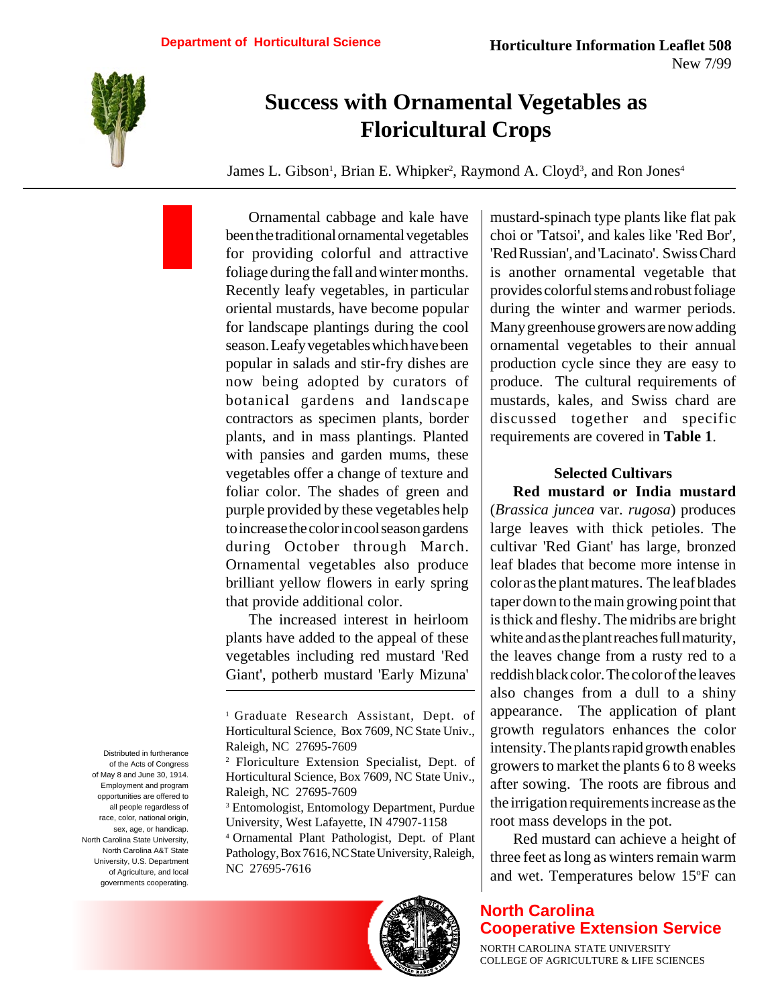

# **Success with Ornamental Vegetables as Floricultural Crops**

James L. Gibson<sup>1</sup>, Brian E. Whipker<sup>2</sup>, Raymond A. Cloyd<sup>3</sup>, and Ron Jones<sup>4</sup>

Ornamental cabbage and kale have been the traditional ornamental vegetables for providing colorful and attractive foliage during the fall and winter months. Recently leafy vegetables, in particular oriental mustards, have become popular for landscape plantings during the cool season. Leafy vegetables which have been popular in salads and stir-fry dishes are now being adopted by curators of botanical gardens and landscape contractors as specimen plants, border plants, and in mass plantings. Planted with pansies and garden mums, these vegetables offer a change of texture and foliar color. The shades of green and purple provided by these vegetables help to increase the color in cool season gardens during October through March. Ornamental vegetables also produce brilliant yellow flowers in early spring that provide additional color.

The increased interest in heirloom plants have added to the appeal of these vegetables including red mustard 'Red Giant', potherb mustard 'Early Mizuna'

<sup>4</sup> Ornamental Plant Pathologist, Dept. of Plant Pathology, Box 7616, NC State University, Raleigh, NC 27695-7616



mustard-spinach type plants like flat pak choi or 'Tatsoi', and kales like 'Red Bor', 'Red Russian', and 'Lacinato'. Swiss Chard is another ornamental vegetable that provides colorful stems and robust foliage during the winter and warmer periods. Many greenhouse growers are now adding ornamental vegetables to their annual production cycle since they are easy to produce. The cultural requirements of mustards, kales, and Swiss chard are discussed together and specific requirements are covered in **Table 1**.

#### **Selected Cultivars**

**Red mustard or India mustard** (*Brassica juncea* var. *rugosa*) produces large leaves with thick petioles. The cultivar 'Red Giant' has large, bronzed leaf blades that become more intense in color as the plant matures. The leaf blades taper down to the main growing point that is thick and fleshy. The midribs are bright white and as the plant reaches full maturity, the leaves change from a rusty red to a reddish black color. The color of the leaves also changes from a dull to a shiny appearance. The application of plant growth regulators enhances the color intensity. The plants rapid growth enables growers to market the plants 6 to 8 weeks after sowing. The roots are fibrous and the irrigation requirements increase as the root mass develops in the pot.

Red mustard can achieve a height of three feet as long as winters remain warm and wet. Temperatures below 15°F can

## **North Carolina Cooperative Extension Service**

NORTH CAROLINA STATE UNIVERSITY COLLEGE OF AGRICULTURE & LIFE SCIENCES

Distributed in furtherance of the Acts of Congress of May 8 and June 30, 1914. Employment and program opportunities are offered to all people regardless of race, color, national origin, sex, age, or handicap. North Carolina State University, North Carolina A&T State University, U.S. Department of Agriculture, and local governments cooperating.

<sup>1</sup> Graduate Research Assistant, Dept. of Horticultural Science, Box 7609, NC State Univ., Raleigh, NC 27695-7609

<sup>2</sup> Floriculture Extension Specialist, Dept. of Horticultural Science, Box 7609, NC State Univ., Raleigh, NC 27695-7609

<sup>3</sup> Entomologist, Entomology Department, Purdue University, West Lafayette, IN 47907-1158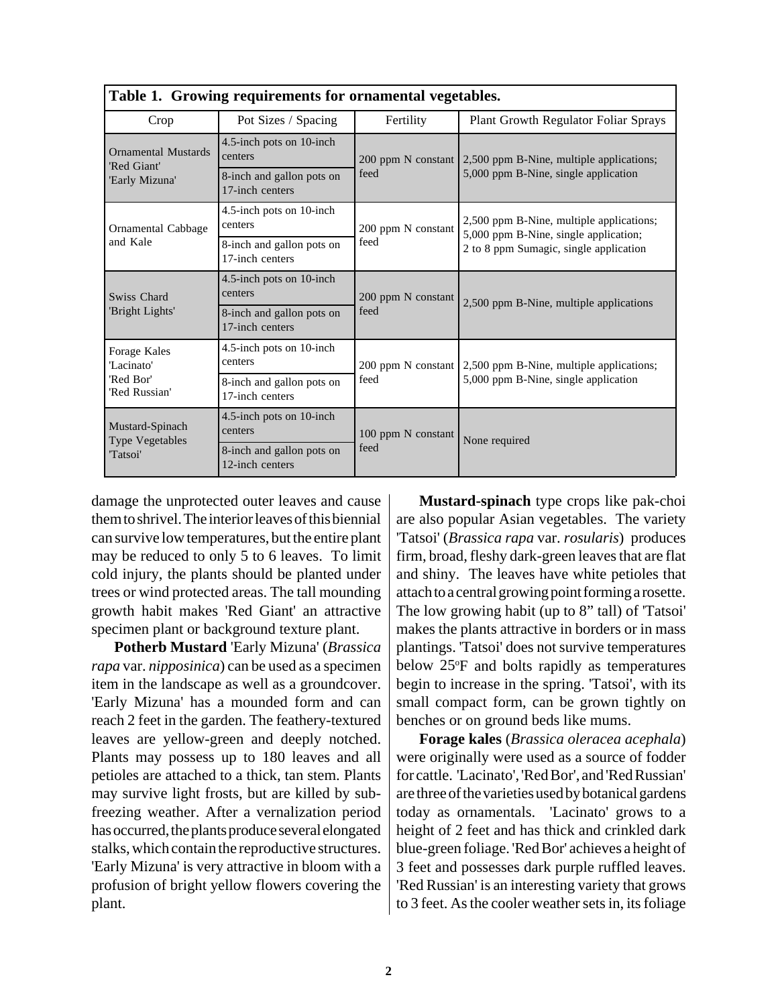| Table 1. Growing requirements for ornamental vegetables.    |                                              |                    |                                                                                                                             |  |  |
|-------------------------------------------------------------|----------------------------------------------|--------------------|-----------------------------------------------------------------------------------------------------------------------------|--|--|
| Crop                                                        | Pot Sizes / Spacing                          | Fertility          | Plant Growth Regulator Foliar Sprays                                                                                        |  |  |
| <b>Ornamental Mustards</b><br>'Red Giant'<br>'Early Mizuna' | 4.5-inch pots on 10-inch<br>centers          |                    | 200 ppm N constant 2,500 ppm B-Nine, multiple applications;<br>5,000 ppm B-Nine, single application                         |  |  |
|                                                             | 8-inch and gallon pots on<br>17-inch centers | feed               |                                                                                                                             |  |  |
| <b>Ornamental Cabbage</b><br>and Kale                       | 4.5-inch pots on 10-inch<br>centers          | 200 ppm N constant | 2,500 ppm B-Nine, multiple applications;<br>5,000 ppm B-Nine, single application;<br>2 to 8 ppm Sumagic, single application |  |  |
|                                                             | 8-inch and gallon pots on<br>17-inch centers | feed               |                                                                                                                             |  |  |
| Swiss Chard<br>'Bright Lights'                              | 4.5-inch pots on 10-inch<br>centers          | 200 ppm N constant | 2,500 ppm B-Nine, multiple applications                                                                                     |  |  |
|                                                             | 8-inch and gallon pots on<br>17-inch centers | feed               |                                                                                                                             |  |  |
| Forage Kales<br>'Lacinato'<br>'Red Bor'<br>'Red Russian'    | 4.5-inch pots on 10-inch<br>centers          |                    | 200 ppm N constant 2,500 ppm B-Nine, multiple applications;<br>5,000 ppm B-Nine, single application                         |  |  |
|                                                             | 8-inch and gallon pots on<br>17-inch centers | feed               |                                                                                                                             |  |  |
| Mustard-Spinach<br><b>Type Vegetables</b><br>"Tatsoi"       | 4.5-inch pots on 10-inch<br>centers          | 100 ppm N constant | None required                                                                                                               |  |  |
|                                                             | 8-inch and gallon pots on<br>12-inch centers | feed               |                                                                                                                             |  |  |

damage the unprotected outer leaves and cause them to shrivel. The interior leaves of this biennial can survive low temperatures, but the entire plant may be reduced to only 5 to 6 leaves. To limit cold injury, the plants should be planted under trees or wind protected areas. The tall mounding growth habit makes 'Red Giant' an attractive specimen plant or background texture plant.

**Potherb Mustard** 'Early Mizuna' (*Brassica rapa* var. *nipposinica*) can be used as a specimen item in the landscape as well as a groundcover. 'Early Mizuna' has a mounded form and can reach 2 feet in the garden. The feathery-textured leaves are yellow-green and deeply notched. Plants may possess up to 180 leaves and all petioles are attached to a thick, tan stem. Plants may survive light frosts, but are killed by subfreezing weather. After a vernalization period has occurred, the plants produce several elongated stalks, which contain the reproductive structures. 'Early Mizuna' is very attractive in bloom with a profusion of bright yellow flowers covering the plant.

**Mustard-spinach** type crops like pak-choi are also popular Asian vegetables. The variety 'Tatsoi' (*Brassica rapa* var. *rosularis*) produces firm, broad, fleshy dark-green leaves that are flat and shiny. The leaves have white petioles that attach to a central growing point forming a rosette. The low growing habit (up to 8" tall) of 'Tatsoi' makes the plants attractive in borders or in mass plantings. 'Tatsoi' does not survive temperatures below 25°F and bolts rapidly as temperatures begin to increase in the spring. 'Tatsoi', with its small compact form, can be grown tightly on benches or on ground beds like mums.

**Forage kales** (*Brassica oleracea acephala*) were originally were used as a source of fodder for cattle. 'Lacinato', 'Red Bor', and 'Red Russian' are three of the varieties used by botanical gardens today as ornamentals. 'Lacinato' grows to a height of 2 feet and has thick and crinkled dark blue-green foliage. 'Red Bor' achieves a height of 3 feet and possesses dark purple ruffled leaves. 'Red Russian' is an interesting variety that grows to 3 feet. As the cooler weather sets in, its foliage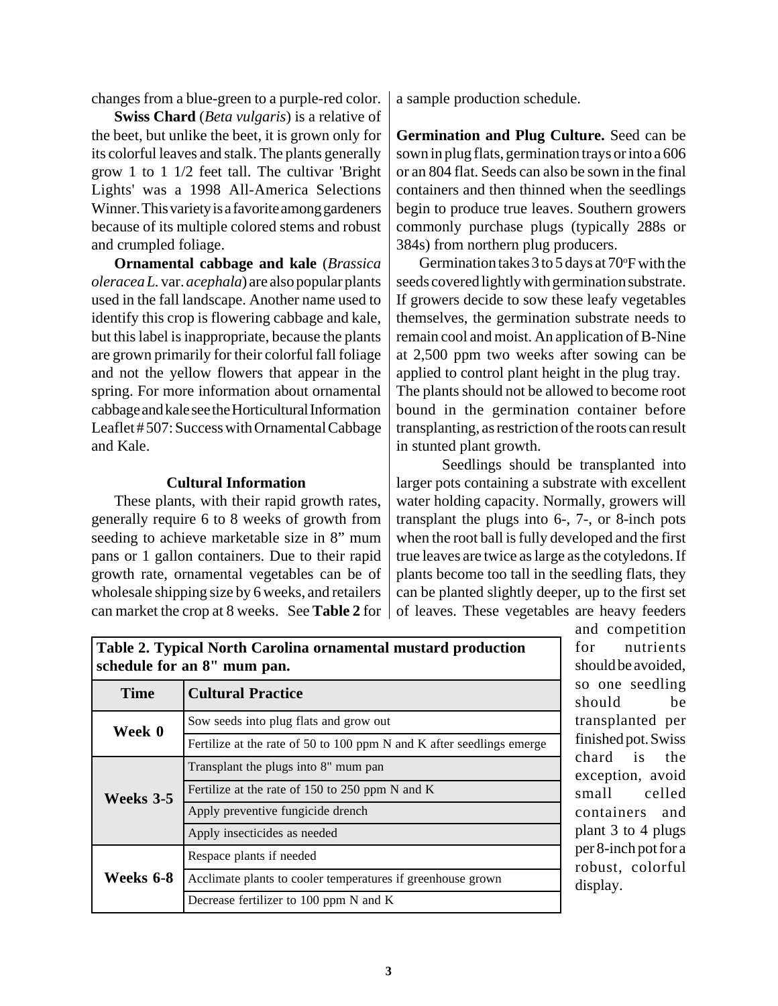changes from a blue-green to a purple-red color.

**Swiss Chard** (*Beta vulgaris*) is a relative of the beet, but unlike the beet, it is grown only for its colorful leaves and stalk. The plants generally grow 1 to 1 1/2 feet tall. The cultivar 'Bright Lights' was a 1998 All-America Selections Winner. This variety is a favorite among gardeners because of its multiple colored stems and robust and crumpled foliage.

**Ornamental cabbage and kale** (*Brassica oleracea L.* var. *acephala*) are also popular plants used in the fall landscape. Another name used to identify this crop is flowering cabbage and kale, but this label is inappropriate, because the plants are grown primarily for their colorful fall foliage and not the yellow flowers that appear in the spring. For more information about ornamental cabbage and kale see the Horticultural Information Leaflet # 507: Success with Ornamental Cabbage and Kale.

### **Cultural Information**

These plants, with their rapid growth rates, generally require 6 to 8 weeks of growth from seeding to achieve marketable size in 8" mum pans or 1 gallon containers. Due to their rapid growth rate, ornamental vegetables can be of wholesale shipping size by 6 weeks, and retailers can market the crop at 8 weeks. See **Table 2** for

a sample production schedule.

**Germination and Plug Culture.** Seed can be sown in plug flats, germination trays or into a 606 or an 804 flat. Seeds can also be sown in the final containers and then thinned when the seedlings begin to produce true leaves. Southern growers commonly purchase plugs (typically 288s or 384s) from northern plug producers.

Germination takes  $3$  to  $5$  days at  $70^{\circ}$ F with the seeds covered lightly with germination substrate. If growers decide to sow these leafy vegetables themselves, the germination substrate needs to remain cool and moist. An application of B-Nine at 2,500 ppm two weeks after sowing can be applied to control plant height in the plug tray. The plants should not be allowed to become root bound in the germination container before transplanting, as restriction of the roots can result in stunted plant growth.

Seedlings should be transplanted into larger pots containing a substrate with excellent water holding capacity. Normally, growers will transplant the plugs into 6-, 7-, or 8-inch pots when the root ball is fully developed and the first true leaves are twice as large as the cotyledons. If plants become too tall in the seedling flats, they can be planted slightly deeper, up to the first set of leaves. These vegetables are heavy feeders

| таріс по турісат готин сагонна отнанісная ніарана ргодисион<br>schedule for an 8" mum pan. |                                                                       |  |  |
|--------------------------------------------------------------------------------------------|-----------------------------------------------------------------------|--|--|
| <b>Time</b>                                                                                | <b>Cultural Practice</b>                                              |  |  |
| Week 0                                                                                     | Sow seeds into plug flats and grow out                                |  |  |
|                                                                                            | Fertilize at the rate of 50 to 100 ppm N and K after seedlings emerge |  |  |
| Weeks 3-5                                                                                  | Transplant the plugs into 8" mum pan                                  |  |  |
|                                                                                            | Fertilize at the rate of 150 to 250 ppm N and K                       |  |  |
|                                                                                            | Apply preventive fungicide drench                                     |  |  |
|                                                                                            | Apply insecticides as needed                                          |  |  |
| Weeks 6-8                                                                                  | Respace plants if needed                                              |  |  |
|                                                                                            | Acclimate plants to cooler temperatures if greenhouse grown           |  |  |
|                                                                                            | Decrease fertilizer to 100 ppm N and K                                |  |  |

**Table 2. Typical North Carolina ornamental mustard production**

and competition for nutrients should be avoided, so one seedling should be transplanted per finished pot. Swiss chard is the exception, avoid small celled containers and plant 3 to 4 plugs per 8-inch pot for a robust, colorful display.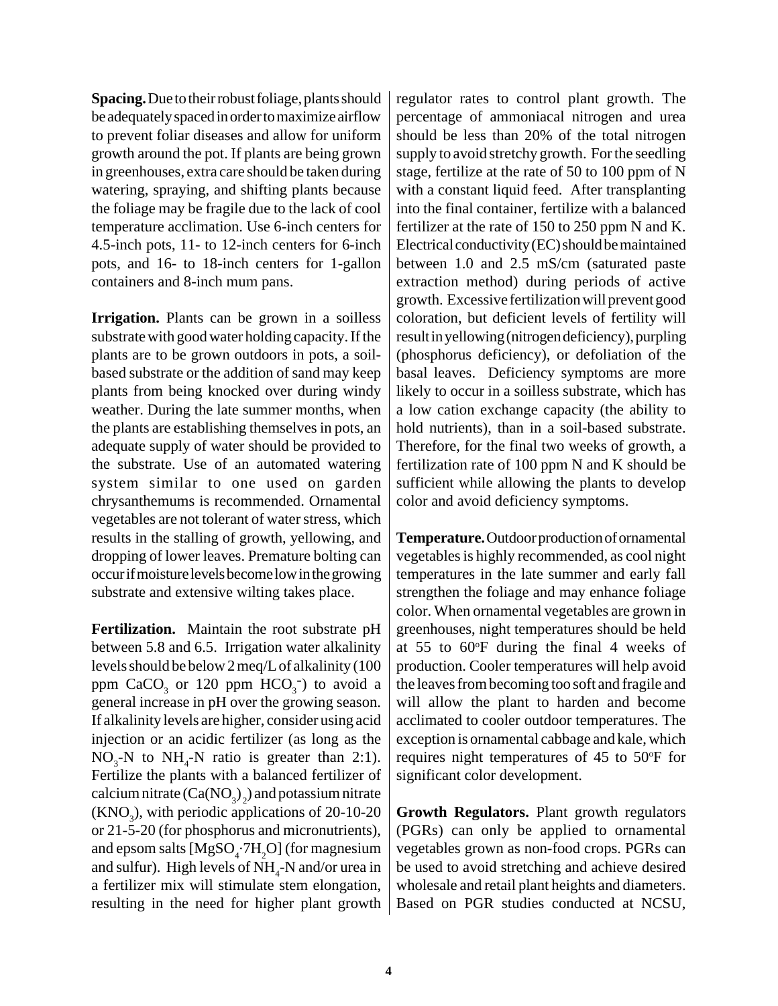**Spacing.** Due to their robust foliage, plants should be adequately spaced in order to maximize airflow to prevent foliar diseases and allow for uniform growth around the pot. If plants are being grown in greenhouses, extra care should be taken during watering, spraying, and shifting plants because the foliage may be fragile due to the lack of cool temperature acclimation. Use 6-inch centers for 4.5-inch pots, 11- to 12-inch centers for 6-inch pots, and 16- to 18-inch centers for 1-gallon containers and 8-inch mum pans.

**Irrigation.** Plants can be grown in a soilless substrate with good water holding capacity. If the plants are to be grown outdoors in pots, a soilbased substrate or the addition of sand may keep plants from being knocked over during windy weather. During the late summer months, when the plants are establishing themselves in pots, an adequate supply of water should be provided to the substrate. Use of an automated watering system similar to one used on garden chrysanthemums is recommended. Ornamental vegetables are not tolerant of water stress, which results in the stalling of growth, yellowing, and dropping of lower leaves. Premature bolting can occur if moisture levels become low in the growing substrate and extensive wilting takes place.

**Fertilization.** Maintain the root substrate pH between 5.8 and 6.5. Irrigation water alkalinity levels should be below 2 meq/L of alkalinity (100 ppm  $CaCO<sub>3</sub>$  or 120 ppm  $HCO<sub>3</sub>$ ) to avoid a general increase in pH over the growing season. If alkalinity levels are higher, consider using acid injection or an acidic fertilizer (as long as the  $NO_3$ -N to  $NH_4$ -N ratio is greater than 2:1). Fertilize the plants with a balanced fertilizer of calcium nitrate  $(Ca(NO<sub>3</sub>)<sub>2</sub>)$  and potassium nitrate  $(KNO<sub>3</sub>)$ , with periodic applications of 20-10-20 or 21-5-20 (for phosphorus and micronutrients), and epsom salts  $[MgSO_4$ : 7H<sub>2</sub>O] (for magnesium and sulfur). High levels of  $NH_{4}$ -N and/or urea in a fertilizer mix will stimulate stem elongation, resulting in the need for higher plant growth regulator rates to control plant growth. The percentage of ammoniacal nitrogen and urea should be less than 20% of the total nitrogen supply to avoid stretchy growth. For the seedling stage, fertilize at the rate of 50 to 100 ppm of N with a constant liquid feed. After transplanting into the final container, fertilize with a balanced fertilizer at the rate of 150 to 250 ppm N and K. Electrical conductivity (EC) should be maintained between 1.0 and 2.5 mS/cm (saturated paste extraction method) during periods of active growth. Excessive fertilization will prevent good coloration, but deficient levels of fertility will result in yellowing (nitrogen deficiency), purpling (phosphorus deficiency), or defoliation of the basal leaves. Deficiency symptoms are more likely to occur in a soilless substrate, which has a low cation exchange capacity (the ability to hold nutrients), than in a soil-based substrate. Therefore, for the final two weeks of growth, a fertilization rate of 100 ppm N and K should be sufficient while allowing the plants to develop color and avoid deficiency symptoms.

**Temperature.** Outdoor production of ornamental vegetables is highly recommended, as cool night temperatures in the late summer and early fall strengthen the foliage and may enhance foliage color. When ornamental vegetables are grown in greenhouses, night temperatures should be held at  $55$  to  $60^{\circ}$ F during the final 4 weeks of production. Cooler temperatures will help avoid the leaves from becoming too soft and fragile and will allow the plant to harden and become acclimated to cooler outdoor temperatures. The exception is ornamental cabbage and kale, which requires night temperatures of 45 to 50°F for significant color development.

**Growth Regulators.** Plant growth regulators (PGRs) can only be applied to ornamental vegetables grown as non-food crops. PGRs can be used to avoid stretching and achieve desired wholesale and retail plant heights and diameters. Based on PGR studies conducted at NCSU,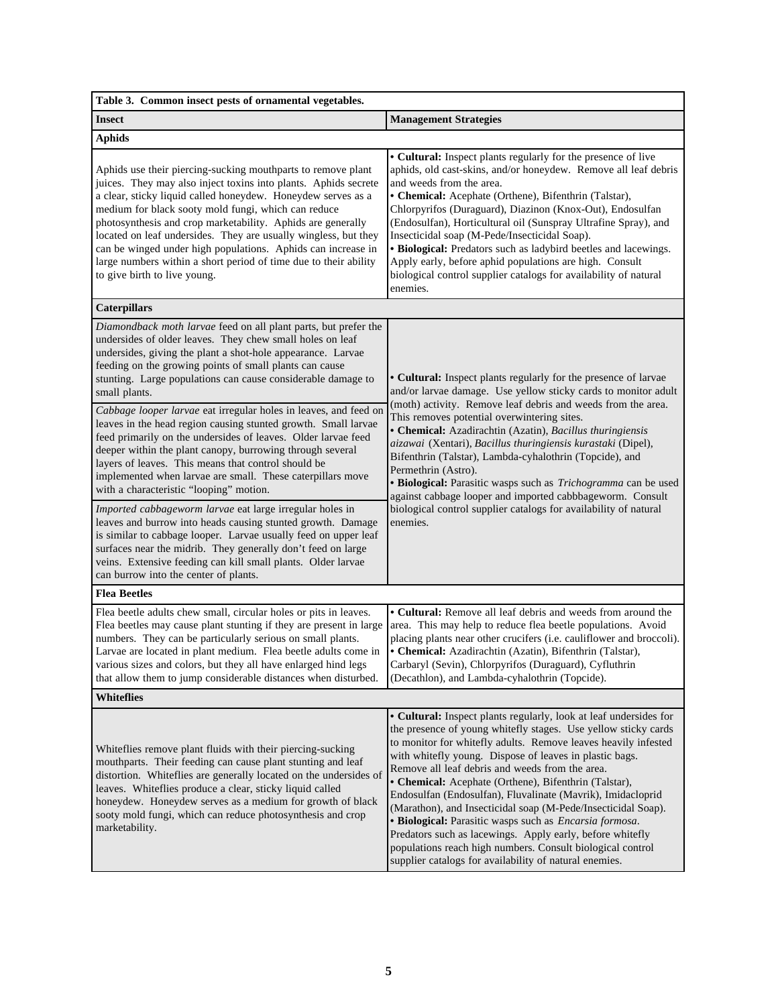| Table 3. Common insect pests of ornamental vegetables.                                                                                                                                                                                                                                                                                                                                                                                                                                                                                                                                                                                                                                                                                                                                                                                  |                                                                                                                                                                                                                                                                                                                                                                                                                                                                                                                                                                                                                                                                                                                                                                      |  |  |  |
|-----------------------------------------------------------------------------------------------------------------------------------------------------------------------------------------------------------------------------------------------------------------------------------------------------------------------------------------------------------------------------------------------------------------------------------------------------------------------------------------------------------------------------------------------------------------------------------------------------------------------------------------------------------------------------------------------------------------------------------------------------------------------------------------------------------------------------------------|----------------------------------------------------------------------------------------------------------------------------------------------------------------------------------------------------------------------------------------------------------------------------------------------------------------------------------------------------------------------------------------------------------------------------------------------------------------------------------------------------------------------------------------------------------------------------------------------------------------------------------------------------------------------------------------------------------------------------------------------------------------------|--|--|--|
| <b>Insect</b>                                                                                                                                                                                                                                                                                                                                                                                                                                                                                                                                                                                                                                                                                                                                                                                                                           | <b>Management Strategies</b>                                                                                                                                                                                                                                                                                                                                                                                                                                                                                                                                                                                                                                                                                                                                         |  |  |  |
| <b>Aphids</b>                                                                                                                                                                                                                                                                                                                                                                                                                                                                                                                                                                                                                                                                                                                                                                                                                           |                                                                                                                                                                                                                                                                                                                                                                                                                                                                                                                                                                                                                                                                                                                                                                      |  |  |  |
| Aphids use their piercing-sucking mouthparts to remove plant<br>juices. They may also inject toxins into plants. Aphids secrete<br>a clear, sticky liquid called honeydew. Honeydew serves as a<br>medium for black sooty mold fungi, which can reduce<br>photosynthesis and crop marketability. Aphids are generally<br>located on leaf undersides. They are usually wingless, but they<br>can be winged under high populations. Aphids can increase in<br>large numbers within a short period of time due to their ability<br>to give birth to live young.                                                                                                                                                                                                                                                                            | • Cultural: Inspect plants regularly for the presence of live<br>aphids, old cast-skins, and/or honeydew. Remove all leaf debris<br>and weeds from the area.<br>• Chemical: Acephate (Orthene), Bifenthrin (Talstar),<br>Chlorpyrifos (Duraguard), Diazinon (Knox-Out), Endosulfan<br>(Endosulfan), Horticultural oil (Sunspray Ultrafine Spray), and<br>Insecticidal soap (M-Pede/Insecticidal Soap).<br>· Biological: Predators such as ladybird beetles and lacewings.<br>Apply early, before aphid populations are high. Consult<br>biological control supplier catalogs for availability of natural<br>enemies.                                                                                                                                                 |  |  |  |
| <b>Caterpillars</b>                                                                                                                                                                                                                                                                                                                                                                                                                                                                                                                                                                                                                                                                                                                                                                                                                     |                                                                                                                                                                                                                                                                                                                                                                                                                                                                                                                                                                                                                                                                                                                                                                      |  |  |  |
| Diamondback moth larvae feed on all plant parts, but prefer the<br>undersides of older leaves. They chew small holes on leaf<br>undersides, giving the plant a shot-hole appearance. Larvae<br>feeding on the growing points of small plants can cause<br>stunting. Large populations can cause considerable damage to<br>small plants.<br>Cabbage looper larvae eat irregular holes in leaves, and feed on<br>leaves in the head region causing stunted growth. Small larvae<br>feed primarily on the undersides of leaves. Older larvae feed<br>deeper within the plant canopy, burrowing through several<br>layers of leaves. This means that control should be<br>implemented when larvae are small. These caterpillars move<br>with a characteristic "looping" motion.<br>Imported cabbageworm larvae eat large irregular holes in | • Cultural: Inspect plants regularly for the presence of larvae<br>and/or larvae damage. Use yellow sticky cards to monitor adult<br>(moth) activity. Remove leaf debris and weeds from the area.<br>This removes potential overwintering sites.<br>• Chemical: Azadirachtin (Azatin), Bacillus thuringiensis<br>aizawai (Xentari), Bacillus thuringiensis kurastaki (Dipel),<br>Bifenthrin (Talstar), Lambda-cyhalothrin (Topcide), and<br>Permethrin (Astro).<br>· Biological: Parasitic wasps such as Trichogramma can be used<br>against cabbage looper and imported cabbbageworm. Consult<br>biological control supplier catalogs for availability of natural<br>enemies.                                                                                       |  |  |  |
| leaves and burrow into heads causing stunted growth. Damage<br>is similar to cabbage looper. Larvae usually feed on upper leaf<br>surfaces near the midrib. They generally don't feed on large<br>veins. Extensive feeding can kill small plants. Older larvae<br>can burrow into the center of plants.                                                                                                                                                                                                                                                                                                                                                                                                                                                                                                                                 |                                                                                                                                                                                                                                                                                                                                                                                                                                                                                                                                                                                                                                                                                                                                                                      |  |  |  |
| <b>Flea Beetles</b>                                                                                                                                                                                                                                                                                                                                                                                                                                                                                                                                                                                                                                                                                                                                                                                                                     |                                                                                                                                                                                                                                                                                                                                                                                                                                                                                                                                                                                                                                                                                                                                                                      |  |  |  |
| Flea beetle adults chew small, circular holes or pits in leaves.<br>Flea beetles may cause plant stunting if they are present in large<br>numbers. They can be particularly serious on small plants.<br>Larvae are located in plant medium. Flea beetle adults come in<br>various sizes and colors, but they all have enlarged hind legs<br>that allow them to jump considerable distances when disturbed.                                                                                                                                                                                                                                                                                                                                                                                                                              | • Cultural: Remove all leaf debris and weeds from around the<br>area. This may help to reduce flea beetle populations. Avoid<br>placing plants near other crucifers (i.e. cauliflower and broccoli).<br>· Chemical: Azadirachtin (Azatin), Bifenthrin (Talstar),<br>Carbaryl (Sevin), Chlorpyrifos (Duraguard), Cyfluthrin<br>(Decathlon), and Lambda-cyhalothrin (Topcide).                                                                                                                                                                                                                                                                                                                                                                                         |  |  |  |
| <b>Whiteflies</b>                                                                                                                                                                                                                                                                                                                                                                                                                                                                                                                                                                                                                                                                                                                                                                                                                       |                                                                                                                                                                                                                                                                                                                                                                                                                                                                                                                                                                                                                                                                                                                                                                      |  |  |  |
| Whiteflies remove plant fluids with their piercing-sucking<br>mouthparts. Their feeding can cause plant stunting and leaf<br>distortion. Whiteflies are generally located on the undersides of<br>leaves. Whiteflies produce a clear, sticky liquid called<br>honeydew. Honeydew serves as a medium for growth of black<br>sooty mold fungi, which can reduce photosynthesis and crop<br>marketability.                                                                                                                                                                                                                                                                                                                                                                                                                                 | • Cultural: Inspect plants regularly, look at leaf undersides for<br>the presence of young whitefly stages. Use yellow sticky cards<br>to monitor for whitefly adults. Remove leaves heavily infested<br>with whitefly young. Dispose of leaves in plastic bags.<br>Remove all leaf debris and weeds from the area.<br>• Chemical: Acephate (Orthene), Bifenthrin (Talstar),<br>Endosulfan (Endosulfan), Fluvalinate (Mavrik), Imidacloprid<br>(Marathon), and Insecticidal soap (M-Pede/Insecticidal Soap).<br>· Biological: Parasitic wasps such as <i>Encarsia formosa</i> .<br>Predators such as lacewings. Apply early, before whitefly<br>populations reach high numbers. Consult biological control<br>supplier catalogs for availability of natural enemies. |  |  |  |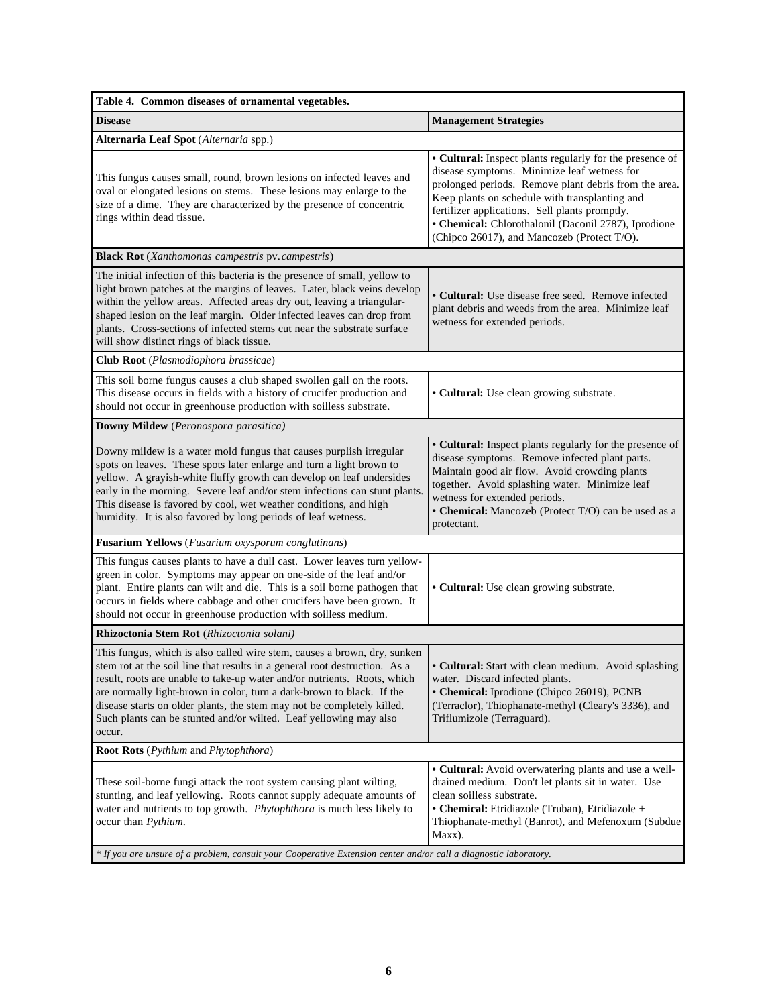| Table 4. Common diseases of ornamental vegetables.                                                                                                                                                                                                                                                                                                                                                                                                                   |                                                                                                                                                                                                                                                                                                                                                                             |  |  |  |
|----------------------------------------------------------------------------------------------------------------------------------------------------------------------------------------------------------------------------------------------------------------------------------------------------------------------------------------------------------------------------------------------------------------------------------------------------------------------|-----------------------------------------------------------------------------------------------------------------------------------------------------------------------------------------------------------------------------------------------------------------------------------------------------------------------------------------------------------------------------|--|--|--|
| <b>Disease</b>                                                                                                                                                                                                                                                                                                                                                                                                                                                       | <b>Management Strategies</b>                                                                                                                                                                                                                                                                                                                                                |  |  |  |
| Alternaria Leaf Spot (Alternaria spp.)                                                                                                                                                                                                                                                                                                                                                                                                                               |                                                                                                                                                                                                                                                                                                                                                                             |  |  |  |
| This fungus causes small, round, brown lesions on infected leaves and<br>oval or elongated lesions on stems. These lesions may enlarge to the<br>size of a dime. They are characterized by the presence of concentric<br>rings within dead tissue.                                                                                                                                                                                                                   | • Cultural: Inspect plants regularly for the presence of<br>disease symptoms. Minimize leaf wetness for<br>prolonged periods. Remove plant debris from the area.<br>Keep plants on schedule with transplanting and<br>fertilizer applications. Sell plants promptly.<br>• Chemical: Chlorothalonil (Daconil 2787), Iprodione<br>(Chipco 26017), and Mancozeb (Protect T/O). |  |  |  |
| <b>Black Rot</b> (Xanthomonas campestris pv. campestris)                                                                                                                                                                                                                                                                                                                                                                                                             |                                                                                                                                                                                                                                                                                                                                                                             |  |  |  |
| The initial infection of this bacteria is the presence of small, yellow to<br>light brown patches at the margins of leaves. Later, black veins develop<br>within the yellow areas. Affected areas dry out, leaving a triangular-<br>shaped lesion on the leaf margin. Older infected leaves can drop from<br>plants. Cross-sections of infected stems cut near the substrate surface<br>will show distinct rings of black tissue.                                    | • Cultural: Use disease free seed. Remove infected<br>plant debris and weeds from the area. Minimize leaf<br>wetness for extended periods.                                                                                                                                                                                                                                  |  |  |  |
| Club Root (Plasmodiophora brassicae)                                                                                                                                                                                                                                                                                                                                                                                                                                 |                                                                                                                                                                                                                                                                                                                                                                             |  |  |  |
| This soil borne fungus causes a club shaped swollen gall on the roots.<br>This disease occurs in fields with a history of crucifer production and<br>should not occur in greenhouse production with soilless substrate.                                                                                                                                                                                                                                              | • Cultural: Use clean growing substrate.                                                                                                                                                                                                                                                                                                                                    |  |  |  |
| Downy Mildew (Peronospora parasitica)                                                                                                                                                                                                                                                                                                                                                                                                                                |                                                                                                                                                                                                                                                                                                                                                                             |  |  |  |
| Downy mildew is a water mold fungus that causes purplish irregular<br>spots on leaves. These spots later enlarge and turn a light brown to<br>yellow. A grayish-white fluffy growth can develop on leaf undersides<br>early in the morning. Severe leaf and/or stem infections can stunt plants.<br>This disease is favored by cool, wet weather conditions, and high<br>humidity. It is also favored by long periods of leaf wetness.                               | • Cultural: Inspect plants regularly for the presence of<br>disease symptoms. Remove infected plant parts.<br>Maintain good air flow. Avoid crowding plants<br>together. Avoid splashing water. Minimize leaf<br>wetness for extended periods.<br>• Chemical: Mancozeb (Protect T/O) can be used as a<br>protectant.                                                        |  |  |  |
| Fusarium Yellows (Fusarium oxysporum conglutinans)                                                                                                                                                                                                                                                                                                                                                                                                                   |                                                                                                                                                                                                                                                                                                                                                                             |  |  |  |
| This fungus causes plants to have a dull cast. Lower leaves turn yellow-<br>green in color. Symptoms may appear on one-side of the leaf and/or<br>plant. Entire plants can wilt and die. This is a soil borne pathogen that<br>occurs in fields where cabbage and other crucifers have been grown. It<br>should not occur in greenhouse production with soilless medium.                                                                                             | • Cultural: Use clean growing substrate.                                                                                                                                                                                                                                                                                                                                    |  |  |  |
| Rhizoctonia Stem Rot (Rhizoctonia solani)                                                                                                                                                                                                                                                                                                                                                                                                                            |                                                                                                                                                                                                                                                                                                                                                                             |  |  |  |
| This fungus, which is also called wire stem, causes a brown, dry, sunken<br>stem rot at the soil line that results in a general root destruction. As a<br>result, roots are unable to take-up water and/or nutrients. Roots, which<br>are normally light-brown in color, turn a dark-brown to black. If the<br>disease starts on older plants, the stem may not be completely killed.<br>Such plants can be stunted and/or wilted. Leaf yellowing may also<br>occur. | • Cultural: Start with clean medium. Avoid splashing<br>water. Discard infected plants.<br>• Chemical: Iprodione (Chipco 26019), PCNB<br>(Terraclor), Thiophanate-methyl (Cleary's 3336), and<br>Triflumizole (Terraguard).                                                                                                                                                 |  |  |  |
| <b>Root Rots</b> ( <i>Pythium and Phytophthora</i> )                                                                                                                                                                                                                                                                                                                                                                                                                 |                                                                                                                                                                                                                                                                                                                                                                             |  |  |  |
| These soil-borne fungi attack the root system causing plant wilting,<br>stunting, and leaf yellowing. Roots cannot supply adequate amounts of<br>water and nutrients to top growth. Phytophthora is much less likely to<br>occur than Pythium.                                                                                                                                                                                                                       | • Cultural: Avoid overwatering plants and use a well-<br>drained medium. Don't let plants sit in water. Use<br>clean soilless substrate.<br>• Chemical: Etridiazole (Truban), Etridiazole +<br>Thiophanate-methyl (Banrot), and Mefenoxum (Subdue<br>Maxx).                                                                                                                 |  |  |  |
| * If you are unsure of a problem, consult your Cooperative Extension center and/or call a diagnostic laboratory.                                                                                                                                                                                                                                                                                                                                                     |                                                                                                                                                                                                                                                                                                                                                                             |  |  |  |